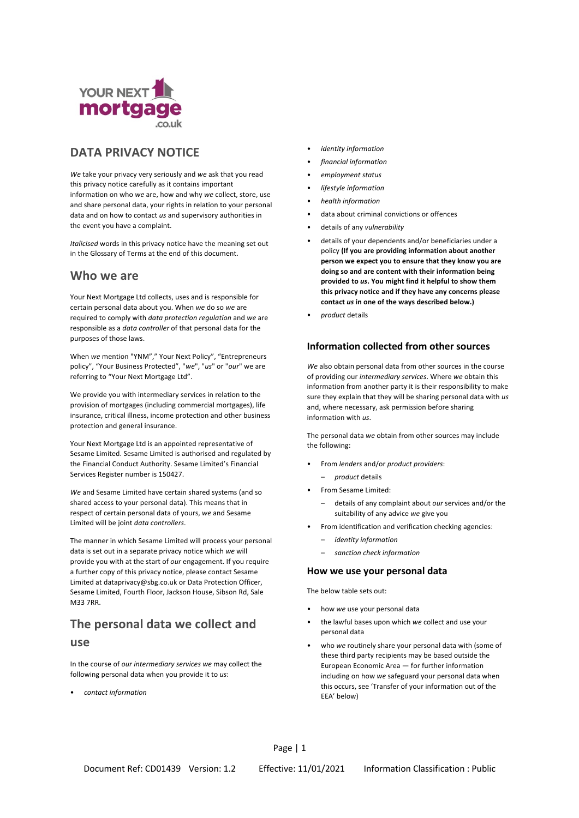

# **DATA PRIVACY NOTICE** • *identity information*

*We* take your privacy very seriously and *we* ask that you read this privacy notice carefully as it contains important information on who *we* are, how and why *we* collect, store, use and share personal data, your rights in relation to your personal data and on how to contact *us* and supervisory authorities in the event you have a complaint.

*Italicised* words in this privacy notice have the meaning set out in the Glossary of Terms at the end of this document.

## **Who we are**

Your Next Mortgage Ltd collects, uses and is responsible for certain personal data about you. When *we* do so *we* are required to comply with *data protection regulation* and *we* are responsible as a *data controller* of that personal data for the purposes of those laws.

When *we* mention "YNM"," Your Next Policy", "Entrepreneurs policy", "Your Business Protected", "*we*", "*us*" or "*our*" we are referring to "Your Next Mortgage Ltd".

We provide you with intermediary services in relation to the provision of mortgages (including commercial mortgages), life insurance, critical illness, income protection and other business protection and general insurance.

Your Next Mortgage Ltd is an appointed representative of the following: Sesame Limited. Sesame Limited is authorised and regulated by the Financial Conduct Authority. Sesame Limited's Financial Services Register number is 150427.

We and Sesame Limited have certain shared systems (and so **and Sesame Limited have certain shared systems** (and so shared access to your personal data). This means that in respect of certain personal data of yours, *we* and Sesame Limited will be joint *data controllers*.

The manner in which Sesame Limited will process your personal – *identity information* data is set out in a separate privacy notice which *we* will provide you with at the start of *our* engagement. If you require a further copy of this privacy notice, please contact Sesame Limited at dataprivacy@sbg.co.uk or Data Protection Officer, Sesame Limited, Fourth Floor, Jackson House, Sibson Rd, Sale M33 7RR.

## **The personal data we collect and**

### **use**

In the course of *our intermediary services we* may collect the following personal data when you provide it to *us*:

• *contact information*

- 
- *financial information*
- *employment status*
- *lifestyle information*
- *health information*
- data about criminal convictions or offences
- details of any *vulnerability*
- details of your dependents and/or beneficiaries under a policy **(If you are providing information about another person we expect you to ensure that they know you are doing so and are content with their information being provided to** *us***. You might find it helpful to show them this privacy notice and if they have any concerns please contact** *us* **in one of the ways described below.)**
- *product* details

### **Information collected from other sources**

*We* also obtain personal data from other sources in the course of providing our *intermediary services*. Where *we* obtain this information from another party it is their responsibility to make sure they explain that they will be sharing personal data with *us* and, where necessary, ask permission before sharing information with *us*.

The personal data *we* obtain from other sources may include

- From *lenders* and/or *product providers*:
	- *product* details
- - details of any complaint about *our* services and/or the suitability of any advice *we* give you
- From identification and verification checking agencies:
	-
	- *sanction check information*

### **How we use your personal data**

The below table sets out:

- how *we* use your personal data
- the lawful bases upon which *we* collect and use your personal data
- who *we* routinely share your personal data with (some of these third party recipients may be based outside the European Economic Area — for further information including on how *we* safeguard your personal data when this occurs, see 'Transfer of your information out of the EEA' below)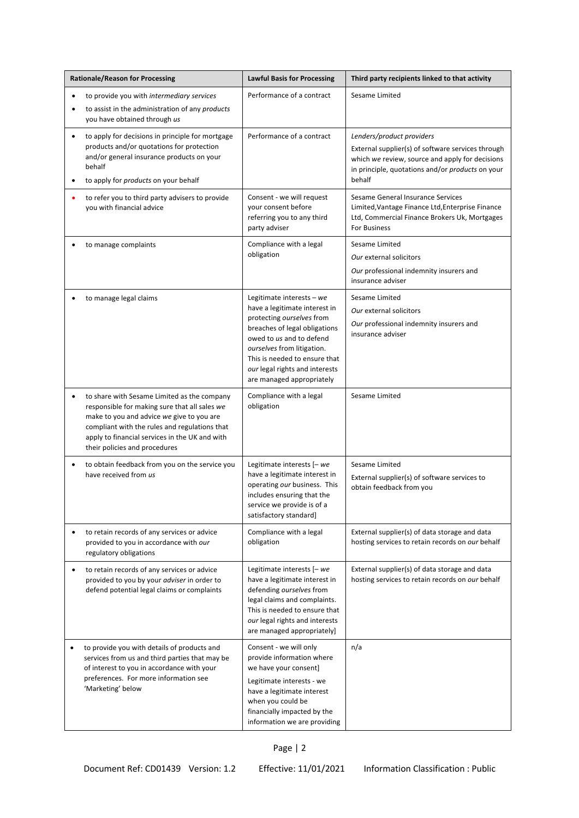| <b>Rationale/Reason for Processing</b>                                                                                                                                                                                                                                        | <b>Lawful Basis for Processing</b>                                                                                                                                                                                                                                                   | Third party recipients linked to that activity                                                                                                                                                  |  |
|-------------------------------------------------------------------------------------------------------------------------------------------------------------------------------------------------------------------------------------------------------------------------------|--------------------------------------------------------------------------------------------------------------------------------------------------------------------------------------------------------------------------------------------------------------------------------------|-------------------------------------------------------------------------------------------------------------------------------------------------------------------------------------------------|--|
| to provide you with intermediary services<br>$\bullet$<br>to assist in the administration of any products<br>٠<br>you have obtained through us                                                                                                                                | Performance of a contract                                                                                                                                                                                                                                                            | Sesame Limited                                                                                                                                                                                  |  |
| to apply for decisions in principle for mortgage<br>$\bullet$<br>products and/or quotations for protection<br>and/or general insurance products on your<br>behalf<br>to apply for products on your behalf<br>٠                                                                | Performance of a contract                                                                                                                                                                                                                                                            | Lenders/product providers<br>External supplier(s) of software services through<br>which we review, source and apply for decisions<br>in principle, quotations and/or products on your<br>behalf |  |
| to refer you to third party advisers to provide<br>you with financial advice                                                                                                                                                                                                  | Consent - we will request<br>your consent before<br>referring you to any third<br>party adviser                                                                                                                                                                                      | Sesame General Insurance Services<br>Limited, Vantage Finance Ltd, Enterprise Finance<br>Ltd, Commercial Finance Brokers Uk, Mortgages<br>For Business                                          |  |
| to manage complaints                                                                                                                                                                                                                                                          | Compliance with a legal<br>obligation                                                                                                                                                                                                                                                | Sesame Limited<br>Our external solicitors<br>Our professional indemnity insurers and<br>insurance adviser                                                                                       |  |
| to manage legal claims                                                                                                                                                                                                                                                        | Legitimate interests $-$ we<br>have a legitimate interest in<br>protecting ourselves from<br>breaches of legal obligations<br>owed to us and to defend<br>ourselves from litigation.<br>This is needed to ensure that<br>our legal rights and interests<br>are managed appropriately | Sesame Limited<br>Our external solicitors<br>Our professional indemnity insurers and<br>insurance adviser                                                                                       |  |
| to share with Sesame Limited as the company<br>responsible for making sure that all sales we<br>make to you and advice we give to you are<br>compliant with the rules and regulations that<br>apply to financial services in the UK and with<br>their policies and procedures | Compliance with a legal<br>obligation                                                                                                                                                                                                                                                | Sesame Limited                                                                                                                                                                                  |  |
| to obtain feedback from you on the service you<br>٠<br>have received from us                                                                                                                                                                                                  | Legitimate interests $[-we]$<br>have a legitimate interest in<br>operating our business. This<br>includes ensuring that the<br>service we provide is of a<br>satisfactory standard]                                                                                                  | Sesame Limited<br>External supplier(s) of software services to<br>obtain feedback from you                                                                                                      |  |
| to retain records of any services or advice<br>$\bullet$<br>provided to you in accordance with our<br>regulatory obligations                                                                                                                                                  | Compliance with a legal<br>obligation                                                                                                                                                                                                                                                | External supplier(s) of data storage and data<br>hosting services to retain records on our behalf                                                                                               |  |
| to retain records of any services or advice<br>$\bullet$<br>provided to you by your adviser in order to<br>defend potential legal claims or complaints                                                                                                                        | Legitimate interests $[-we]$<br>have a legitimate interest in<br>defending ourselves from<br>legal claims and complaints.<br>This is needed to ensure that<br>our legal rights and interests<br>are managed appropriately]                                                           | External supplier(s) of data storage and data<br>hosting services to retain records on our behalf                                                                                               |  |
| to provide you with details of products and<br>٠<br>services from us and third parties that may be<br>of interest to you in accordance with your<br>preferences. For more information see<br>'Marketing' below                                                                | Consent - we will only<br>provide information where<br>we have your consent]<br>Legitimate interests - we<br>have a legitimate interest<br>when you could be<br>financially impacted by the<br>information we are providing                                                          | n/a                                                                                                                                                                                             |  |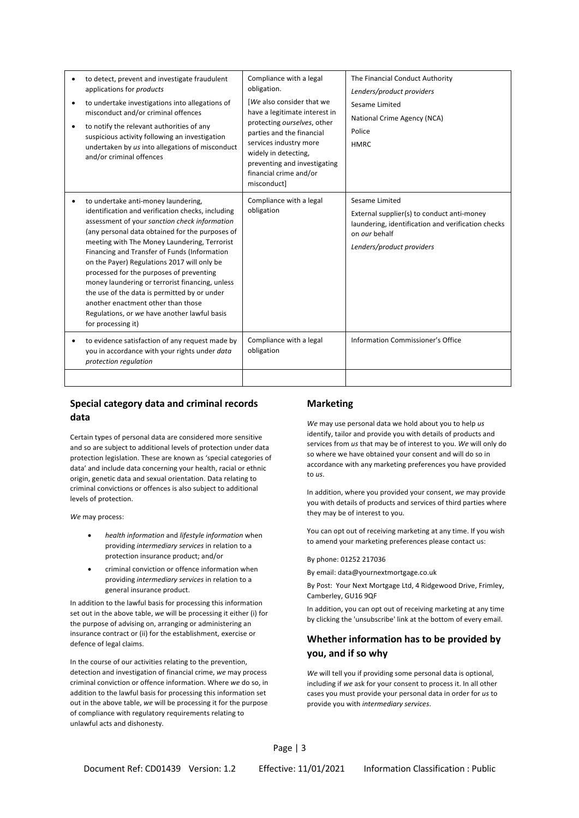| ٠ | to detect, prevent and investigate fraudulent<br>applications for products<br>to undertake investigations into allegations of<br>misconduct and/or criminal offences<br>to notify the relevant authorities of any<br>suspicious activity following an investigation<br>undertaken by us into allegations of misconduct<br>and/or criminal offences                                                                                                                                                                                                                                                     | Compliance with a legal<br>obligation.<br>[We also consider that we<br>have a legitimate interest in<br>protecting ourselves, other<br>parties and the financial<br>services industry more<br>widely in detecting,<br>preventing and investigating<br>financial crime and/or<br>misconduct] | The Financial Conduct Authority<br>Lenders/product providers<br>Sesame Limited<br>National Crime Agency (NCA)<br>Police<br><b>HMRC</b>                           |
|---|--------------------------------------------------------------------------------------------------------------------------------------------------------------------------------------------------------------------------------------------------------------------------------------------------------------------------------------------------------------------------------------------------------------------------------------------------------------------------------------------------------------------------------------------------------------------------------------------------------|---------------------------------------------------------------------------------------------------------------------------------------------------------------------------------------------------------------------------------------------------------------------------------------------|------------------------------------------------------------------------------------------------------------------------------------------------------------------|
|   | to undertake anti-money laundering,<br>identification and verification checks, including<br>assessment of your sanction check information<br>(any personal data obtained for the purposes of<br>meeting with The Money Laundering, Terrorist<br>Financing and Transfer of Funds (Information<br>on the Payer) Regulations 2017 will only be<br>processed for the purposes of preventing<br>money laundering or terrorist financing, unless<br>the use of the data is permitted by or under<br>another enactment other than those<br>Regulations, or we have another lawful basis<br>for processing it) | Compliance with a legal<br>obligation                                                                                                                                                                                                                                                       | Sesame Limited<br>External supplier(s) to conduct anti-money<br>laundering, identification and verification checks<br>on our behalf<br>Lenders/product providers |
|   | to evidence satisfaction of any request made by<br>you in accordance with your rights under data<br>protection regulation                                                                                                                                                                                                                                                                                                                                                                                                                                                                              | Compliance with a legal<br>obligation                                                                                                                                                                                                                                                       | Information Commissioner's Office                                                                                                                                |
|   |                                                                                                                                                                                                                                                                                                                                                                                                                                                                                                                                                                                                        |                                                                                                                                                                                                                                                                                             |                                                                                                                                                                  |

### **Special category data and criminal records data**

Certain types of personal data are considered more sensitive and so are subject to additional levels of protection under data protection legislation. These are known as 'special categories of data' and include data concerning your health, racial or ethnic origin, genetic data and sexual orientation. Data relating to criminal convictions or offences is also subject to additional levels of protection. In addition, where you provided your consent, *we* may provide

- providing *intermediary services* in relation to a protection insurance product; and/or By phone: 01252 217036
- criminal conviction or offence information when providing *intermediary services* in relation to a general insurance product.

In addition to the lawful basis for processing this information set out in the above table, *we* will be processing it either (i) for the purpose of advising on, arranging or administering an insurance contract or (ii) for the establishment, exercise or defence of legal claims.

In the course of our activities relating to the prevention, detection and investigation of financial crime, *we* may process criminal conviction or offence information. Where *we* do so, in addition to the lawful basis for processing this information set out in the above table, *we* will be processing it for the purpose of compliance with regulatory requirements relating to unlawful acts and dishonesty.

### **Marketing**

*We* may use personal data we hold about you to help *us* identify, tailor and provide you with details of products and services from *us* that may be of interest to you. *We* will only do so where we have obtained your consent and will do so in accordance with any marketing preferences you have provided to *us*.

you with details of products and services of third parties where they may be of interest to you. *We* may process:

You can opt out of receiving marketing at any time. If you wish to amend your marketing preferences please contact us: • *health information* and *lifestyle information* when

By email: data@yournextmortgage.co.uk

By Post: Your Next Mortgage Ltd, 4 Ridgewood Drive, Frimley, Camberley, GU16 9QF

In addition, you can opt out of receiving marketing at any time by clicking the 'unsubscribe' link at the bottom of every email.

## **Whether information has to be provided by you, and if so why**

*We* will tell you if providing some personal data is optional, including if *we* ask for your consent to process it. In all other cases you must provide your personal data in order for *us* to provide you with *intermediary services*.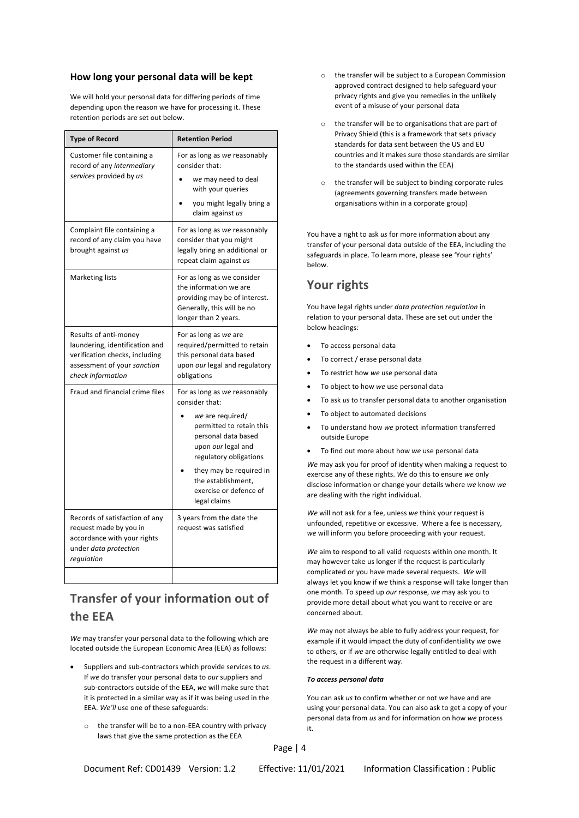We will hold your personal data for differing periods of time depending upon the reason we have for processing it. These retention periods are set out below.<br>  $\circ$  the transfer will be to organisations that are part of

| <b>Type of Record</b>                                                                                                                         | <b>Retention Period</b>                                                                                                                                                                                                                                          |
|-----------------------------------------------------------------------------------------------------------------------------------------------|------------------------------------------------------------------------------------------------------------------------------------------------------------------------------------------------------------------------------------------------------------------|
| Customer file containing a<br>record of any intermediary<br>services provided by us                                                           | For as long as we reasonably<br>consider that:<br>we may need to deal<br>with your queries<br>you might legally bring a<br>claim against us                                                                                                                      |
| Complaint file containing a<br>record of any claim you have<br>brought against us                                                             | For as long as we reasonably<br>consider that you might<br>legally bring an additional or<br>repeat claim against us                                                                                                                                             |
| Marketing lists                                                                                                                               | For as long as we consider<br>the information we are<br>providing may be of interest.<br>Generally, this will be no<br>longer than 2 years.                                                                                                                      |
| Results of anti-money<br>laundering, identification and<br>verification checks, including<br>assessment of your sanction<br>check information | For as long as we are<br>required/permitted to retain<br>this personal data based<br>upon our legal and regulatory<br>obligations                                                                                                                                |
| Fraud and financial crime files                                                                                                               | For as long as we reasonably<br>consider that:<br>we are required/<br>permitted to retain this<br>personal data based<br>upon our legal and<br>regulatory obligations<br>they may be required in<br>the establishment.<br>exercise or defence of<br>legal claims |
| Records of satisfaction of any<br>request made by you in<br>accordance with your rights<br>under data protection<br>regulation                | 3 years from the date the<br>request was satisfied                                                                                                                                                                                                               |

# **Transfer of your information out of the EEA**

*We* may transfer your personal data to the following which are located outside the European Economic Area (EEA) as follows:

- Suppliers and sub-contractors which provide services to *us*. If *we* do transfer your personal data to *our* suppliers and sub-contractors outside of the EEA, *we* will make sure that it is protected in a similar way as if it was being used in the EEA. *We'll* use one of these safeguards:
	- $\circ$  the transfer will be to a non-EEA country with privacy  $\cdot$ laws that give the same protection as the EEA
- **How long your personal data will be kept** on the transfer will be subject to a European Commission approved contract designed to help safeguard your privacy rights and give you remedies in the unlikely event of a misuse of your personal data
	- Privacy Shield (this is a framework that sets privacy standards for data sent between the US and EU countries and it makes sure those standards are similar to the standards used within the EEA)
	- o the transfer will be subject to binding corporate rules (agreements governing transfers made between organisations within in a corporate group)

You have a right to ask *us* for more information about any transfer of your personal data outside of the EEA, including the safeguards in place. To learn more, please see 'Your rights' below.

## **Your rights**

You have legal rights under *data protection regulation* in relation to your personal data. These are set out under the below headings:

- To access personal data
- To correct / erase personal data
- To restrict how *we* use personal data
- To object to how *we* use personal data
- To ask *us* to transfer personal data to another organisation
- To object to automated decisions
- To understand how *we* protect information transferred outside Europe
- To find out more about how *we* use personal data

*We* may ask you for proof of identity when making a request to exercise any of these rights. *We* do this to ensure *we* only disclose information or change your details where *we* know *we* are dealing with the right individual.

*We* will not ask for a fee, unless *we* think your request is unfounded, repetitive or excessive. Where a fee is necessary, *we* will inform you before proceeding with your request.

*We* aim to respond to all valid requests within one month. It may however take us longer if the request is particularly complicated or you have made several requests. *We* will always let you know if *we* think a response will take longer than one month. To speed up *our* response, *we* may ask you to provide more detail about what you want to receive or are concerned about.

*We* may not always be able to fully address your request, for example if it would impact the duty of confidentiality *we* owe to others, or if *we* are otherwise legally entitled to deal with the request in a different way.

### *To access personal data*

You can ask *us* to confirm whether or not *we* have and are using your personal data. You can also ask to get a copy of your personal data from *us* and for information on how *we* process

Page | 4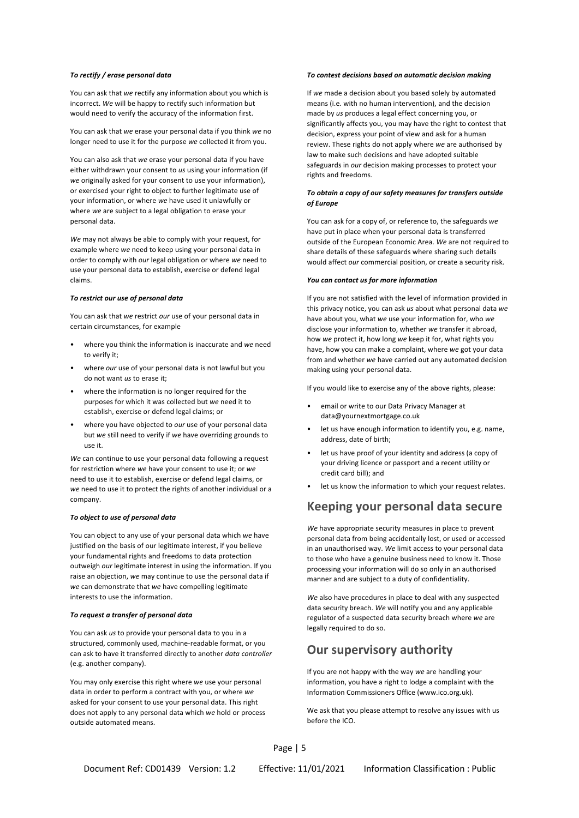You can ask that *we* rectify any information about you which is incorrect. *We* will be happy to rectify such information but would need to verify the accuracy of the information first.

You can ask that *we* erase your personal data if you think *we* no longer need to use it for the purpose *we* collected it from you.

You can also ask that *we* erase your personal data if you have either withdrawn your consent to *us* using your information (if *we* originally asked for your consent to use your information), or exercised your right to object to further legitimate use of your information, or where *we* have used it unlawfully or where *we* are subject to a legal obligation to erase your personal data.

*We* may not always be able to comply with your request, for example where *we* need to keep using your personal data in order to comply with *our* legal obligation or where *we* need to use your personal data to establish, exercise or defend legal claims. *You can contact us for more information*

You can ask that *we* restrict *our* use of your personal data in certain circumstances, for example

- where you think the information is inaccurate and *we* need to verify it;
- where *our* use of your personal data is not lawful but you do not want *us* to erase it;
- purposes for which it was collected but *we* need it to purposes for writer it was collected but we need it to **•** email or write to our Data Privacy Manager at establish, exercise or defend legal claims; or **• •** email or write to our Data Privacy Manager at
- where you have objected to *our* use of your personal data but *we* still need to verify if *we* have overriding grounds to use it.

*We* can continue to use your personal data following a request for restriction where *we* have your consent to use it; or *we* need to use it to establish, exercise or defend legal claims, or *we* need to use it to protect the rights of another individual or a company.

### *To object to use of personal data*

You can object to any use of your personal data which *we* have justified on the basis of our legitimate interest, if you believe your fundamental rights and freedoms to data protection outweigh *our* legitimate interest in using the information. If you raise an objection, *we* may continue to use the personal data if *we* can demonstrate that *we* have compelling legitimate interests to use the information. *We* also have procedures in place to deal with any suspected

### *To request a transfer of personal data*

You can ask *us* to provide your personal data to you in a structured, commonly used, machine-readable format, or you can ask to have it transferred directly to another *data controller* (e.g. another company).

You may only exercise this right where *we* use your personal data in order to perform a contract with you, or where *we* asked for your consent to use your personal data. This right does not apply to any personal data which *we* hold or process outside automated means.

### *To rectify / erase personal data To contest decisions based on automatic decision making*

If *we* made a decision about you based solely by automated means (i.e. with no human intervention), and the decision made by *us* produces a legal effect concerning you, or significantly affects you, you may have the right to contest that decision, express your point of view and ask for a human review. These rights do not apply where *we* are authorised by law to make such decisions and have adopted suitable safeguards in *our* decision making processes to protect your rights and freedoms.

### *To obtain a copy of our safety measures for transfers outside of Europe*

You can ask for a copy of, or reference to, the safeguards *we* have put in place when your personal data is transferred outside of the European Economic Area. *We* are not required to share details of these safeguards where sharing such details would affect *our* commercial position, or create a security risk.

**To restrict our use of personal data** If you are not satisfied with the level of information provided in this privacy notice, you can ask *us* about what personal data *we* have about you, what *we* use your information for, who *we* disclose your information to, whether *we* transfer it abroad, how *we* protect it, how long *we* keep it for, what rights you have, how you can make a complaint, where *we* got your data from and whether *we* have carried out any automated decision making using your personal data.

If you would like to exercise any of the above rights, please: • where the information is no longer required for the

- data@yournextmortgage.co.uk
- let us have enough information to identify you, e.g. name, address, date of birth;
- let us have proof of your identity and address (a copy of your driving licence or passport and a recent utility or credit card bill); and
- let us know the information to which your request relates.

## **Keeping your personal data secure**

*We* have appropriate security measures in place to prevent personal data from being accidentally lost, or used or accessed in an unauthorised way. *We* limit access to your personal data to those who have a genuine business need to know it. Those processing your information will do so only in an authorised manner and are subject to a duty of confidentiality.

data security breach. *We* will notify you and any applicable regulator of a suspected data security breach where *we* are legally required to do so.

## **Our supervisory authority**

If you are not happy with the way *we* are handling your information, you have a right to lodge a complaint with the Information Commissioners Office (www.ico.org.uk).

We ask that you please attempt to resolve any issues with us before the ICO.

Page | 5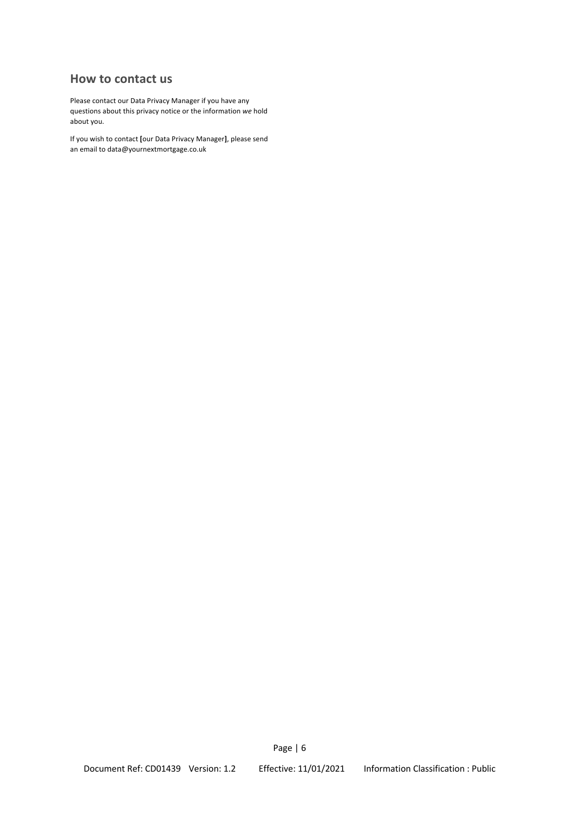## **How to contact us**

Please contact our Data Privacy Manager if you have any questions about this privacy notice or the information *we* hold about you.

If you wish to contact **[**our Data Privacy Manager**]**, please send an email to data@yournextmortgage.co.uk